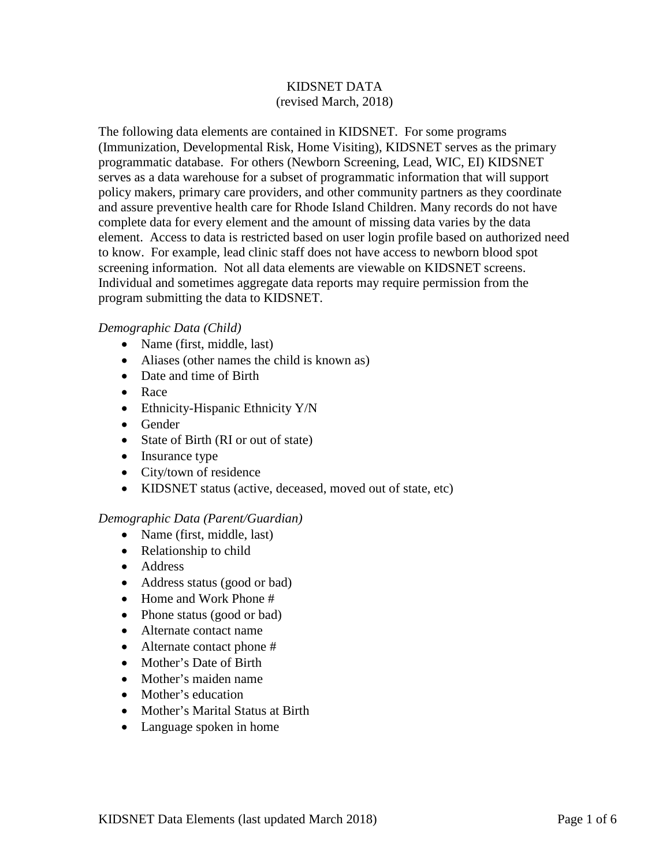# KIDSNET DATA (revised March, 2018)

The following data elements are contained in KIDSNET. For some programs (Immunization, Developmental Risk, Home Visiting), KIDSNET serves as the primary programmatic database. For others (Newborn Screening, Lead, WIC, EI) KIDSNET serves as a data warehouse for a subset of programmatic information that will support policy makers, primary care providers, and other community partners as they coordinate and assure preventive health care for Rhode Island Children. Many records do not have complete data for every element and the amount of missing data varies by the data element. Access to data is restricted based on user login profile based on authorized need to know. For example, lead clinic staff does not have access to newborn blood spot screening information. Not all data elements are viewable on KIDSNET screens. Individual and sometimes aggregate data reports may require permission from the program submitting the data to KIDSNET.

## *Demographic Data (Child)*

- Name (first, middle, last)
- Aliases (other names the child is known as)
- Date and time of Birth
- Race
- Ethnicity-Hispanic Ethnicity Y/N
- Gender
- State of Birth (RI or out of state)
- Insurance type
- City/town of residence
- KIDSNET status (active, deceased, moved out of state, etc)

## *Demographic Data (Parent/Guardian)*

- Name (first, middle, last)
- Relationship to child
- Address
- Address status (good or bad)
- Home and Work Phone #
- Phone status (good or bad)
- Alternate contact name
- Alternate contact phone #
- Mother's Date of Birth
- Mother's maiden name
- Mother's education
- Mother's Marital Status at Birth
- Language spoken in home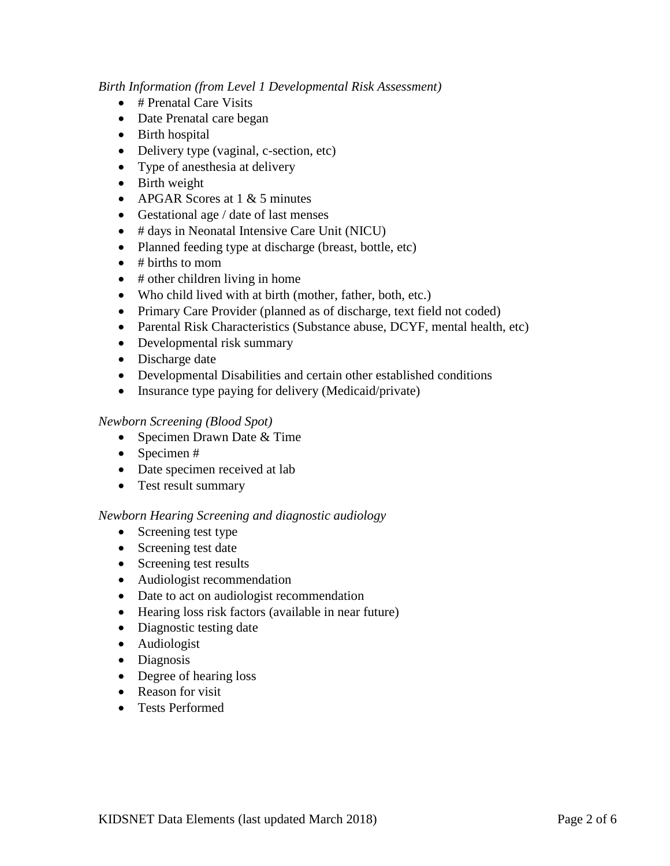## *Birth Information (from Level 1 Developmental Risk Assessment)*

- # Prenatal Care Visits
- Date Prenatal care began
- Birth hospital
- Delivery type (vaginal, c-section, etc)
- Type of anesthesia at delivery
- Birth weight
- APGAR Scores at  $1 \& 5$  minutes
- Gestational age / date of last menses
- # days in Neonatal Intensive Care Unit (NICU)
- Planned feeding type at discharge (breast, bottle, etc)
- $\bullet$  # births to mom
- $\bullet$  # other children living in home
- Who child lived with at birth (mother, father, both, etc.)
- Primary Care Provider (planned as of discharge, text field not coded)
- Parental Risk Characteristics (Substance abuse, DCYF, mental health, etc)
- Developmental risk summary
- Discharge date
- Developmental Disabilities and certain other established conditions
- Insurance type paying for delivery (Medicaid/private)

# *Newborn Screening (Blood Spot)*

- Specimen Drawn Date & Time
- Specimen #
- Date specimen received at lab
- Test result summary

# *Newborn Hearing Screening and diagnostic audiology*

- Screening test type
- Screening test date
- Screening test results
- Audiologist recommendation
- Date to act on audiologist recommendation
- Hearing loss risk factors (available in near future)
- Diagnostic testing date
- Audiologist
- Diagnosis
- Degree of hearing loss
- Reason for visit
- Tests Performed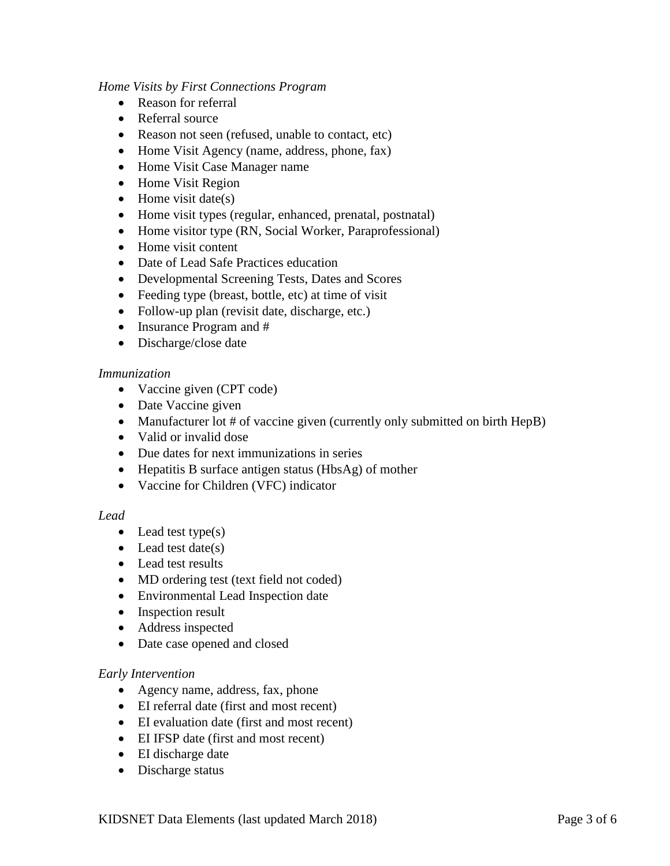## *Home Visits by First Connections Program*

- Reason for referral
- Referral source
- Reason not seen (refused, unable to contact, etc)
- Home Visit Agency (name, address, phone, fax)
- Home Visit Case Manager name
- Home Visit Region
- Home visit date(s)
- Home visit types (regular, enhanced, prenatal, postnatal)
- Home visitor type (RN, Social Worker, Paraprofessional)
- Home visit content
- Date of Lead Safe Practices education
- Developmental Screening Tests, Dates and Scores
- Feeding type (breast, bottle, etc) at time of visit
- Follow-up plan (revisit date, discharge, etc.)
- Insurance Program and #
- Discharge/close date

## *Immunization*

- Vaccine given (CPT code)
- Date Vaccine given
- Manufacturer lot # of vaccine given (currently only submitted on birth HepB)
- Valid or invalid dose
- Due dates for next immunizations in series
- Hepatitis B surface antigen status (HbsAg) of mother
- Vaccine for Children (VFC) indicator

## *Lead*

- Lead test type(s)
- $\bullet$  Lead test date(s)
- Lead test results
- MD ordering test (text field not coded)
- Environmental Lead Inspection date
- Inspection result
- Address inspected
- Date case opened and closed

## *Early Intervention*

- Agency name, address, fax, phone
- EI referral date (first and most recent)
- EI evaluation date (first and most recent)
- EI IFSP date (first and most recent)
- EI discharge date
- Discharge status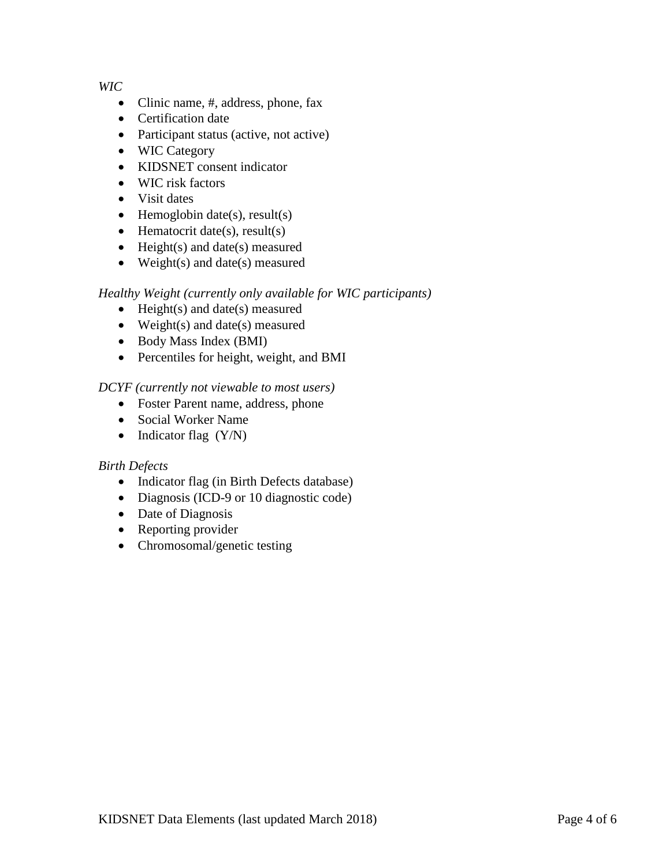*WIC*

- Clinic name, #, address, phone, fax
- Certification date
- Participant status (active, not active)
- WIC Category
- KIDSNET consent indicator
- WIC risk factors
- Visit dates
- Hemoglobin date(s), result(s)
- Hematocrit date(s), result(s)
- Height(s) and date(s) measured
- Weight(s) and date(s) measured

# *Healthy Weight (currently only available for WIC participants)*

- Height(s) and date(s) measured
- Weight(s) and date(s) measured
- Body Mass Index (BMI)
- Percentiles for height, weight, and BMI

# *DCYF (currently not viewable to most users)*

- Foster Parent name, address, phone
- Social Worker Name
- Indicator flag  $(Y/N)$

# *Birth Defects*

- Indicator flag (in Birth Defects database)
- Diagnosis (ICD-9 or 10 diagnostic code)
- Date of Diagnosis
- Reporting provider
- Chromosomal/genetic testing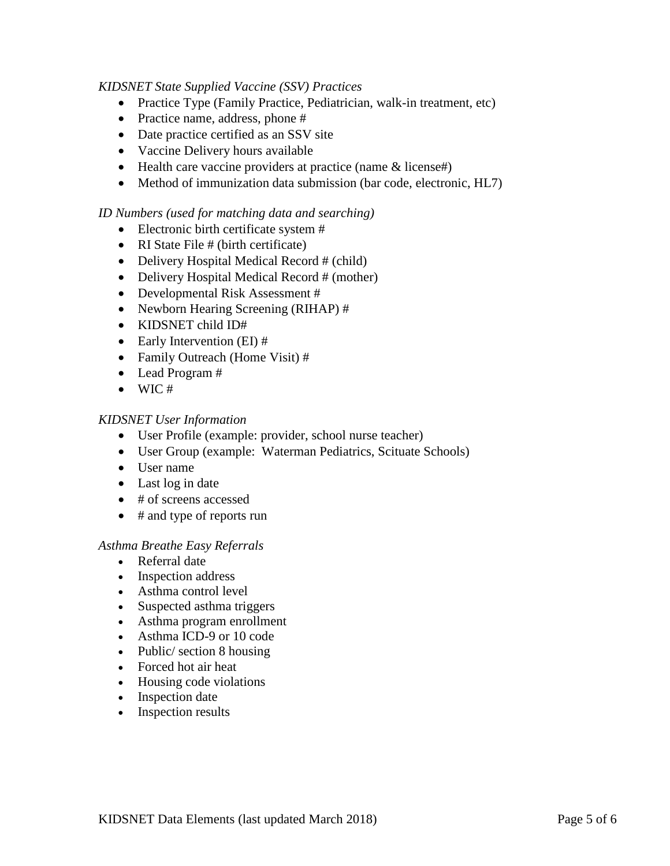## *KIDSNET State Supplied Vaccine (SSV) Practices*

- Practice Type (Family Practice, Pediatrician, walk-in treatment, etc)
- Practice name, address, phone #
- Date practice certified as an SSV site
- Vaccine Delivery hours available
- Health care vaccine providers at practice (name & license#)
- Method of immunization data submission (bar code, electronic, HL7)

#### *ID Numbers (used for matching data and searching)*

- Electronic birth certificate system #
- RI State File # (birth certificate)
- Delivery Hospital Medical Record # (child)
- Delivery Hospital Medical Record # (mother)
- Developmental Risk Assessment #
- Newborn Hearing Screening (RIHAP) #
- KIDSNET child ID#
- Early Intervention (EI) #
- Family Outreach (Home Visit) #
- Lead Program #
- $\bullet$  WIC#

#### *KIDSNET User Information*

- User Profile (example: provider, school nurse teacher)
- User Group (example: Waterman Pediatrics, Scituate Schools)
- User name
- Last log in date
- # of screens accessed
- # and type of reports run

#### *Asthma Breathe Easy Referrals*

- Referral date
- Inspection address
- Asthma control level
- Suspected asthma triggers
- Asthma program enrollment
- Asthma ICD-9 or 10 code
- Public/ section 8 housing
- Forced hot air heat
- Housing code violations
- Inspection date
- Inspection results